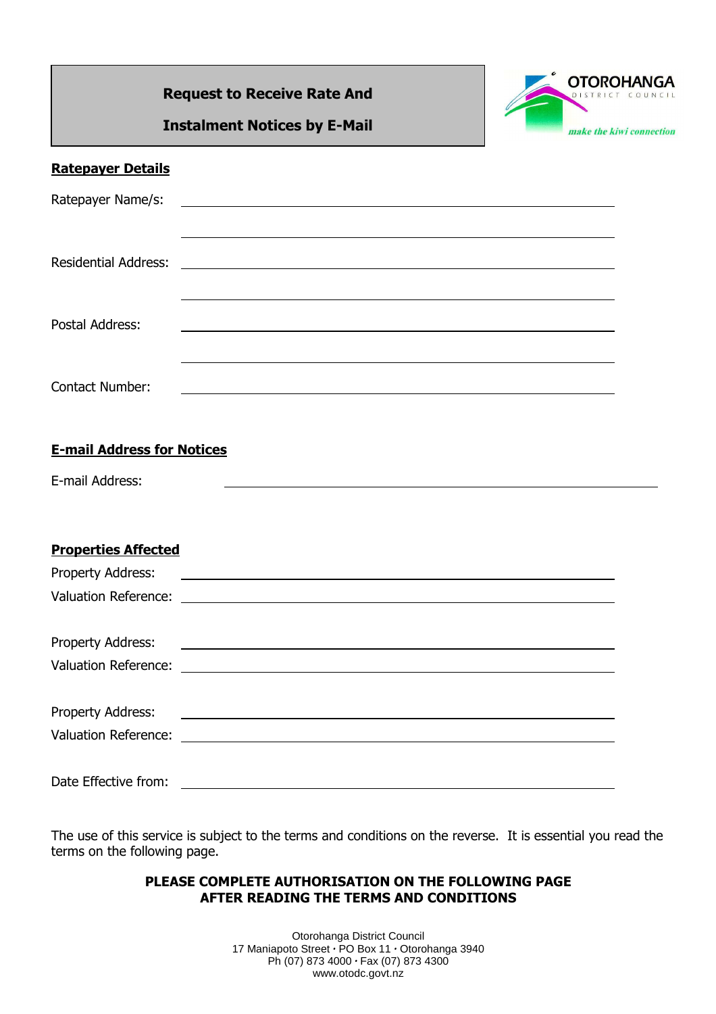# **Request to Receive Rate And**



**Instalment Notices by E-Mail** 

# **Ratepayer Details**

| <b>Residential Address:</b> |  |  |
|-----------------------------|--|--|
| Postal Address:             |  |  |
| <b>Contact Number:</b>      |  |  |

## **E-mail Address for Notices**

E-mail Address:

## **Properties Affected**

| Property Address:    |                                                                                                                |
|----------------------|----------------------------------------------------------------------------------------------------------------|
|                      |                                                                                                                |
|                      |                                                                                                                |
|                      |                                                                                                                |
|                      |                                                                                                                |
|                      |                                                                                                                |
|                      | Property Address: 2008 and 2009 and 2009 and 2009 and 2009 and 2009 and 2009 and 2009 and 2009 and 2009 and 20 |
|                      |                                                                                                                |
|                      |                                                                                                                |
| Date Effective from: |                                                                                                                |

The use of this service is subject to the terms and conditions on the reverse. It is essential you read the terms on the following page.

### **PLEASE COMPLETE AUTHORISATION ON THE FOLLOWING PAGE AFTER READING THE TERMS AND CONDITIONS**